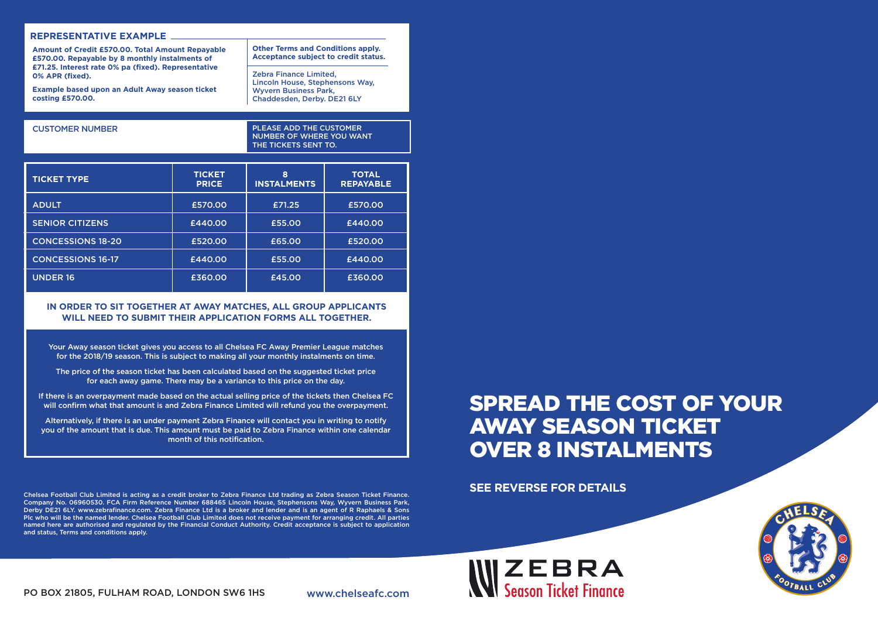#### **REPRESENTATIVE EXAMPLE**

**Amount of Credit £570.00. Total Amount Repayable £570.00. Repayable by 8 monthly instalments of £71.25. Interest rate 0% pa (fixed). Representative 0% APR (fixed).** 

**Example based upon an Adult Away season ticket costing £570.00.**

CUSTOMER NUMBER

PLEASE ADD THE CUSTOMER NUMBER OF WHERE YOU WANT THE TICKETS SENT TO.

**Other Terms and Conditions apply. Acceptance subject to credit status.**

Lincoln House, Stephensons Way,

Zebra Finance Limited,

Wyvern Business Park, Chaddesden, Derby. DE21 6LY

| <b>TICKET TYPE</b>       | <b>TICKET</b><br><b>PRICE</b> | 8<br><b>INSTALMENTS</b> | <b>TOTAL</b><br><b>REPAYABLE</b> |
|--------------------------|-------------------------------|-------------------------|----------------------------------|
| <b>ADULT</b>             | £570.00                       | £71.25                  | £570.00                          |
| <b>SENIOR CITIZENS</b>   | £440.00                       | £55.00                  | £440.00                          |
| <b>CONCESSIONS 18-20</b> | £520.00                       | £65.00                  | £520.00                          |
| <b>CONCESSIONS 16-17</b> | £440.00                       | £55.00                  | £440.00                          |
| <b>UNDER 16</b>          | £360.00                       | £45.00                  | £360.00                          |

#### **IN ORDER TO SIT TOGETHER AT AWAY MATCHES, ALL GROUP APPLICANTS WILL NEED TO SUBMIT THEIR APPLICATION FORMS ALL TOGETHER.**

Your Away season ticket gives you access to all Chelsea FC Away Premier League matches for the 2018/19 season. This is subject to making all your monthly instalments on time.

The price of the season ticket has been calculated based on the suggested ticket price for each away game. There may be a variance to this price on the day.

If there is an overpayment made based on the actual selling price of the tickets then Chelsea FC will confirm what that amount is and Zebra Finance Limited will refund you the overpayment.

Alternatively, if there is an under payment Zebra Finance will contact you in writing to notify you of the amount that is due. This amount must be paid to Zebra Finance within one calendar month of this notification.

Chelsea Football Club Limited is acting as a credit broker to Zebra Finance Ltd trading as Zebra Season Ticket Finance. Company No. 06960530. FCA Firm Reference Number 688465 Lincoln House, Stephensons Way, Wyvern Business Park, Derby DE21 6LY. www.zebrafinance.com. Zebra Finance Ltd is a broker and lender and is an agent of R Raphaels & Sons Plc who will be the named lender. Chelsea Football Club Limited does not receive payment for arranging credit. All parties named here are authorised and regulated by the Financial Conduct Authority. Credit acceptance is subject to application and status, Terms and conditions apply.

# SPREAD THE COST OF YOUR AWAY SEASON TICKET OVER 8 INSTALMENTS

**SEE REVERSE FOR DETAILS**

 $\mathbf{W} \mathbf{Z} \mathbf{E} \mathbf{B} \mathbf{R} \mathbf{A}$ 



PO BOX 21805, FULHAM ROAD, LONDON SW6 1HS www.chelseafc.com